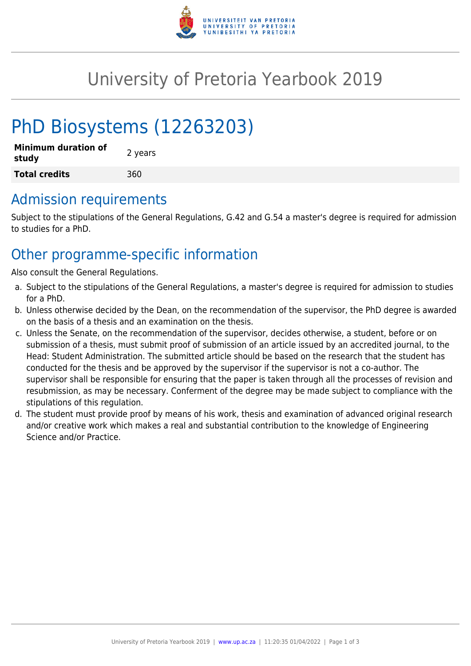

# University of Pretoria Yearbook 2019

# PhD Biosystems (12263203)

| <b>Minimum duration of</b><br>study | 2 years |
|-------------------------------------|---------|
| <b>Total credits</b>                | 360     |

## Admission requirements

Subject to the stipulations of the General Regulations, G.42 and G.54 a master's degree is required for admission to studies for a PhD.

## Other programme-specific information

Also consult the General Regulations.

- a. Subject to the stipulations of the General Regulations, a master's degree is required for admission to studies for a PhD.
- b. Unless otherwise decided by the Dean, on the recommendation of the supervisor, the PhD degree is awarded on the basis of a thesis and an examination on the thesis.
- c. Unless the Senate, on the recommendation of the supervisor, decides otherwise, a student, before or on submission of a thesis, must submit proof of submission of an article issued by an accredited journal, to the Head: Student Administration. The submitted article should be based on the research that the student has conducted for the thesis and be approved by the supervisor if the supervisor is not a co-author. The supervisor shall be responsible for ensuring that the paper is taken through all the processes of revision and resubmission, as may be necessary. Conferment of the degree may be made subject to compliance with the stipulations of this regulation.
- d. The student must provide proof by means of his work, thesis and examination of advanced original research and/or creative work which makes a real and substantial contribution to the knowledge of Engineering Science and/or Practice.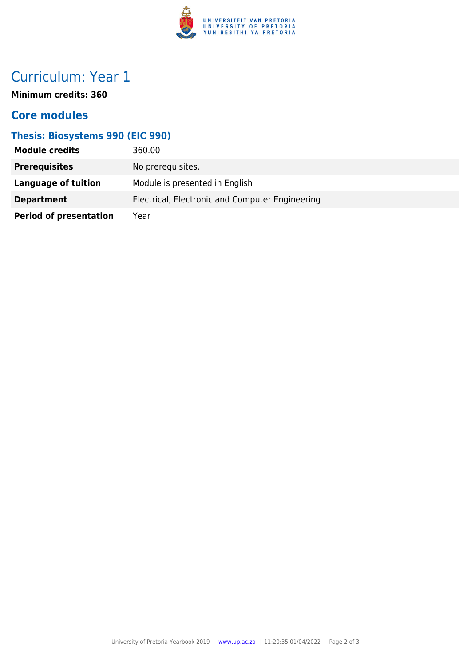

# Curriculum: Year 1

**Minimum credits: 360**

### **Core modules**

#### **Thesis: Biosystems 990 (EIC 990)**

| <b>Module credits</b>         | 360.00                                          |
|-------------------------------|-------------------------------------------------|
| <b>Prerequisites</b>          | No prerequisites.                               |
| Language of tuition           | Module is presented in English                  |
| <b>Department</b>             | Electrical, Electronic and Computer Engineering |
| <b>Period of presentation</b> | Year                                            |